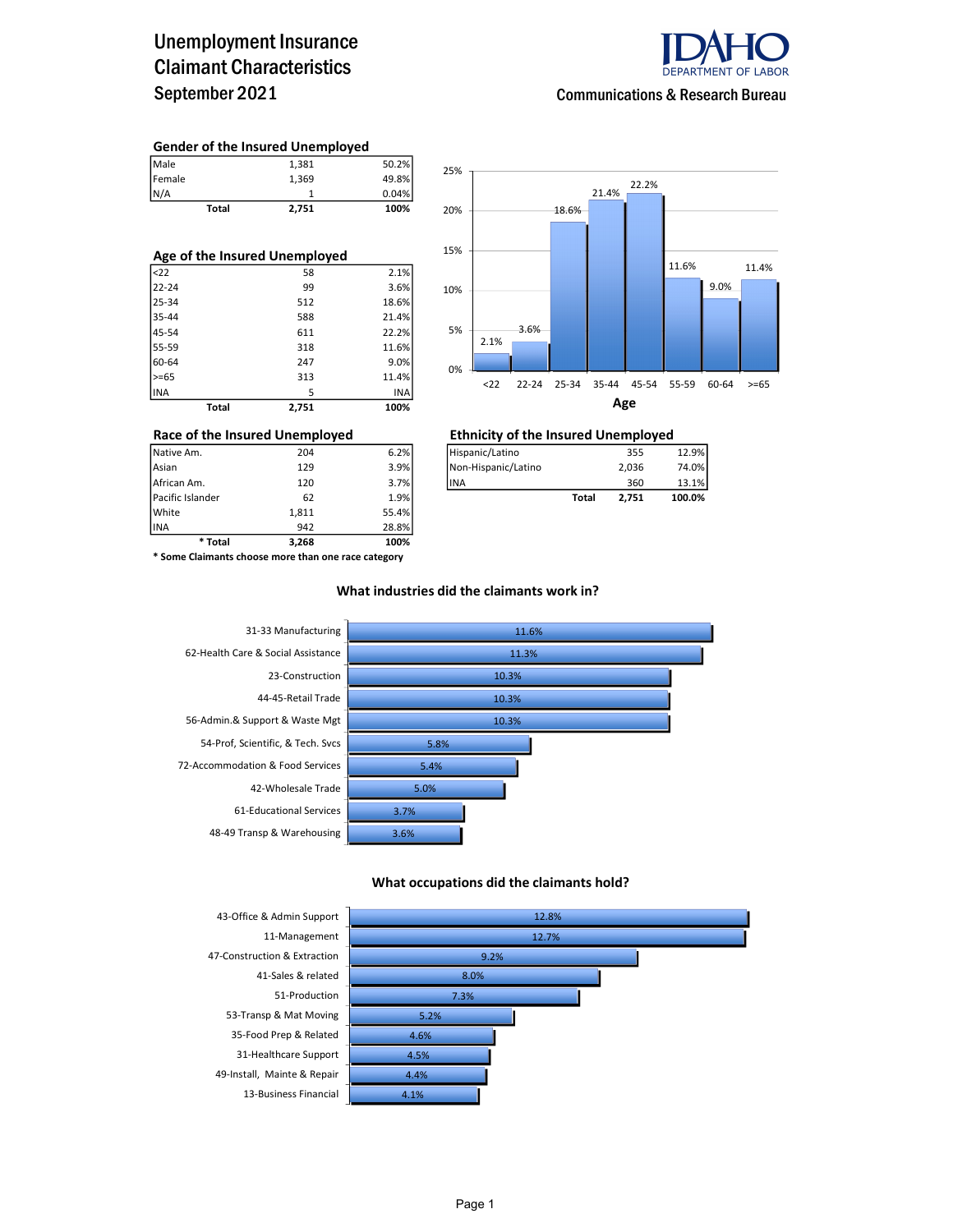### Unemployment Insurance Claimant Characteristics September 2021



Communications & Research Bureau

#### Gender of the Insured Unemployed

| Total  | 2,751 | 100%  |
|--------|-------|-------|
| N/A    |       | 0.04% |
| Female | 1.369 | 49.8% |
| Male   | 1.381 | 50.2% |

| Age of the Insured Unemployed |       |       |  |  |  |  |  |  |
|-------------------------------|-------|-------|--|--|--|--|--|--|
| <sub>22</sub>                 | 58    | 2.1%  |  |  |  |  |  |  |
| 22-24                         | 99    | 3.6%  |  |  |  |  |  |  |
| 25-34                         | 512   | 18.6% |  |  |  |  |  |  |
| 35-44                         | 588   | 21.4% |  |  |  |  |  |  |
| 45-54                         | 611   | 22.2% |  |  |  |  |  |  |
| 55-59                         | 318   | 11.6% |  |  |  |  |  |  |
| 60-64                         | 247   | 9.0%  |  |  |  |  |  |  |
| $>= 65$                       | 313   | 11.4% |  |  |  |  |  |  |
| <b>INA</b>                    | 5     | INA   |  |  |  |  |  |  |
| Total                         | 2,751 | 100%  |  |  |  |  |  |  |



### Race of the Insured Unemployed<br>  $\frac{1}{204}$   $\frac{1}{204}$   $\frac{1}{204}$   $\frac{1}{204}$   $\frac{1}{204}$   $\frac{1}{204}$   $\frac{1}{204}$   $\frac{1}{204}$   $\frac{1}{204}$   $\frac{1}{204}$   $\frac{1}{204}$   $\frac{1}{204}$   $\frac{1}{204}$   $\frac{1}{204}$   $\frac{1}{204}$   $\frac{1}{204$

| Asian            | 129 | 3.9% | INon-Hispanic/Latino |       | 2.036 | 74.0%  |
|------------------|-----|------|----------------------|-------|-------|--------|
| African Am.      | 120 | 3.7% | <b>IINA</b>          |       | 360   | 13.1%  |
| Pacific Islander | 62  | 1.9% |                      | Total | 2.751 | 100.0% |

INA 942 28.8% \* Some Claimants choose more than one race category

\* Total 3,268 100%

Pacific Islander 62 1.9% White 1,811 55.4%<br>1942 58.8% 1NA

#### What industries did the claimants work in?



#### What occupations did the claimants hold?

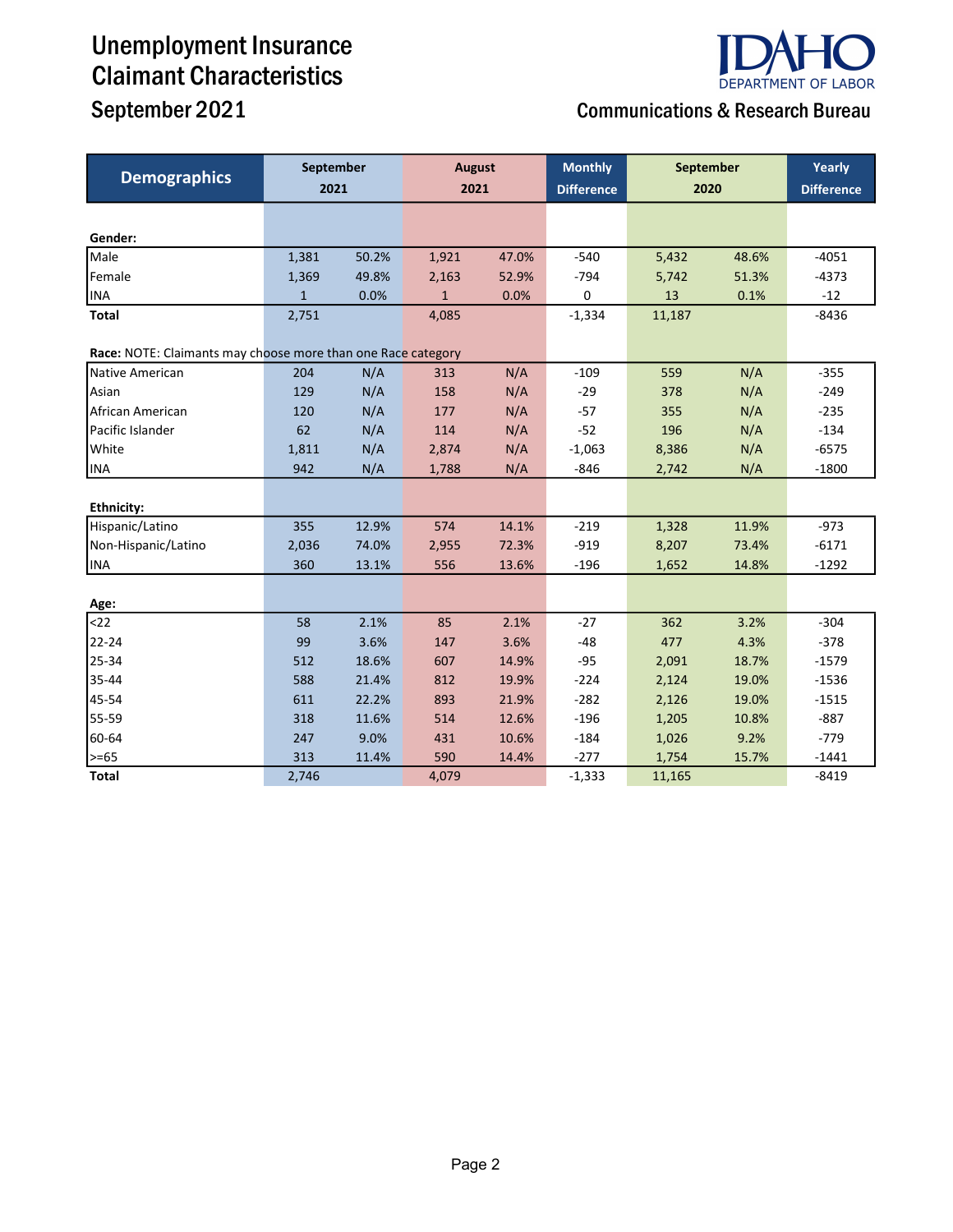# Unemployment Insurance Claimant Characteristics



## September 2021 Communications & Research Bureau

| <b>Demographics</b>                                          | September<br>2021 |       | <b>August</b><br>2021 |       | <b>Monthly</b><br><b>Difference</b> | September<br>2020 |       | Yearly<br><b>Difference</b> |
|--------------------------------------------------------------|-------------------|-------|-----------------------|-------|-------------------------------------|-------------------|-------|-----------------------------|
|                                                              |                   |       |                       |       |                                     |                   |       |                             |
| Gender:                                                      |                   |       |                       |       |                                     |                   |       |                             |
| Male                                                         | 1,381             | 50.2% | 1,921                 | 47.0% | $-540$                              | 5,432             | 48.6% | $-4051$                     |
| Female                                                       | 1,369             | 49.8% | 2,163                 | 52.9% | $-794$                              | 5,742             | 51.3% | $-4373$                     |
| <b>INA</b>                                                   | $\mathbf{1}$      | 0.0%  | $\mathbf{1}$          | 0.0%  | 0                                   | 13                | 0.1%  | $-12$                       |
| <b>Total</b>                                                 | 2,751             |       | 4,085                 |       | $-1,334$                            | 11,187            |       | $-8436$                     |
| Race: NOTE: Claimants may choose more than one Race category |                   |       |                       |       |                                     |                   |       |                             |
| Native American                                              | 204               | N/A   | 313                   | N/A   | $-109$                              | 559               | N/A   | $-355$                      |
| Asian                                                        | 129               | N/A   | 158                   | N/A   | $-29$                               | 378               | N/A   | $-249$                      |
| African American                                             | 120               | N/A   | 177                   | N/A   | $-57$                               | 355               | N/A   | $-235$                      |
| Pacific Islander                                             | 62                | N/A   | 114                   | N/A   | $-52$                               | 196               | N/A   | $-134$                      |
| White                                                        | 1,811             | N/A   | 2,874                 | N/A   | $-1,063$                            | 8,386             | N/A   | $-6575$                     |
| <b>INA</b>                                                   | 942               | N/A   | 1,788                 | N/A   | $-846$                              | 2,742             | N/A   | $-1800$                     |
|                                                              |                   |       |                       |       |                                     |                   |       |                             |
| <b>Ethnicity:</b>                                            |                   |       |                       |       |                                     |                   |       |                             |
| Hispanic/Latino                                              | 355               | 12.9% | 574                   | 14.1% | $-219$                              | 1,328             | 11.9% | $-973$                      |
| Non-Hispanic/Latino                                          | 2,036             | 74.0% | 2,955                 | 72.3% | $-919$                              | 8,207             | 73.4% | $-6171$                     |
| <b>INA</b>                                                   | 360               | 13.1% | 556                   | 13.6% | $-196$                              | 1,652             | 14.8% | $-1292$                     |
| Age:                                                         |                   |       |                       |       |                                     |                   |       |                             |
| $22$                                                         | 58                | 2.1%  | 85                    | 2.1%  | $-27$                               | 362               | 3.2%  | $-304$                      |
| 22-24                                                        | 99                | 3.6%  | 147                   | 3.6%  | $-48$                               | 477               | 4.3%  | $-378$                      |
| 25-34                                                        | 512               | 18.6% | 607                   | 14.9% | $-95$                               | 2,091             | 18.7% | $-1579$                     |
| 35-44                                                        | 588               | 21.4% | 812                   | 19.9% | $-224$                              | 2,124             | 19.0% | $-1536$                     |
| 45-54                                                        | 611               | 22.2% | 893                   | 21.9% | $-282$                              | 2,126             | 19.0% | $-1515$                     |
| 55-59                                                        | 318               | 11.6% | 514                   | 12.6% | $-196$                              | 1,205             | 10.8% | $-887$                      |
| 60-64                                                        | 247               | 9.0%  | 431                   | 10.6% | $-184$                              | 1,026             | 9.2%  | $-779$                      |
| $> = 65$                                                     | 313               | 11.4% | 590                   | 14.4% | $-277$                              | 1,754             | 15.7% | $-1441$                     |
| <b>Total</b>                                                 | 2,746             |       | 4,079                 |       | $-1,333$                            | 11,165            |       | $-8419$                     |